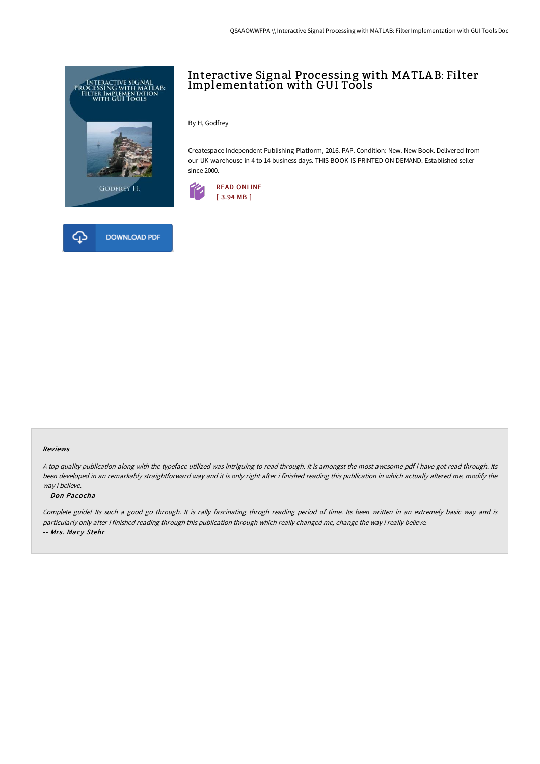



By H, Godfrey

Createspace Independent Publishing Platform, 2016. PAP. Condition: New. New Book. Delivered from our UK warehouse in 4 to 14 business days. THIS BOOK IS PRINTED ON DEMAND. Established seller since 2000.



## Reviews

<sup>A</sup> top quality publication along with the typeface utilized was intriguing to read through. It is amongst the most awesome pdf i have got read through. Its been developed in an remarkably straightforward way and it is only right after i finished reading this publication in which actually altered me, modify the way i believe.

#### -- Don Pacocha

Complete guide! Its such <sup>a</sup> good go through. It is rally fascinating throgh reading period of time. Its been written in an extremely basic way and is particularly only after i finished reading through this publication through which really changed me, change the way i really believe. -- Mrs. Macy Stehr